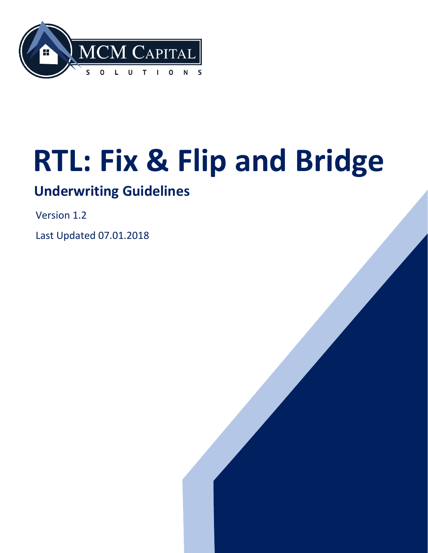

# **RTL: Fix & Flip and Bridge**

## **Underwriting Guidelines**

Version 1.2

Last Updated 07.01.2018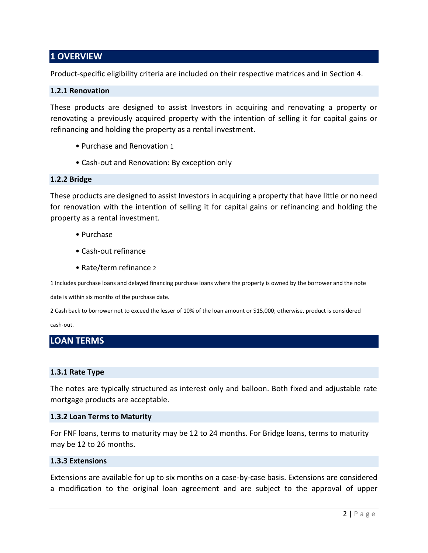## **1 OVERVIEW**

Product-specific eligibility criteria are included on their respective matrices and in Section 4.

#### **1.2.1 Renovation**

These products are designed to assist Investors in acquiring and renovating a property or renovating a previously acquired property with the intention of selling it for capital gains or refinancing and holding the property as a rental investment.

- Purchase and Renovation 1
- Cash-out and Renovation: By exception only

#### **1.2.2 Bridge**

These products are designed to assist Investors in acquiring a property that have little or no need for renovation with the intention of selling it for capital gains or refinancing and holding the property as a rental investment.

- Purchase
- Cash-out refinance
- Rate/term refinance 2

1 Includes purchase loans and delayed financing purchase loans where the property is owned by the borrower and the note

date is within six months of the purchase date.

2 Cash back to borrower not to exceed the lesser of 10% of the loan amount or \$15,000; otherwise, product is considered

cash-out.

## **LOAN TERMS**

#### **1.3.1 Rate Type**

The notes are typically structured as interest only and balloon. Both fixed and adjustable rate mortgage products are acceptable.

#### **1.3.2 Loan Terms to Maturity**

For FNF loans, terms to maturity may be 12 to 24 months. For Bridge loans, terms to maturity may be 12 to 26 months.

#### **1.3.3 Extensions**

Extensions are available for up to six months on a case-by-case basis. Extensions are considered a modification to the original loan agreement and are subject to the approval of upper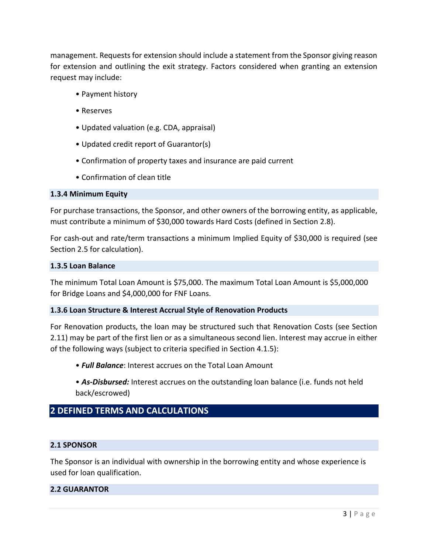management. Requests for extension should include a statement from the Sponsor giving reason for extension and outlining the exit strategy. Factors considered when granting an extension request may include:

- Payment history
- Reserves
- Updated valuation (e.g. CDA, appraisal)
- Updated credit report of Guarantor(s)
- Confirmation of property taxes and insurance are paid current
- Confirmation of clean title

#### **1.3.4 Minimum Equity**

For purchase transactions, the Sponsor, and other owners of the borrowing entity, as applicable, must contribute a minimum of \$30,000 towards Hard Costs (defined in Section 2.8).

For cash-out and rate/term transactions a minimum Implied Equity of \$30,000 is required (see Section 2.5 for calculation).

#### **1.3.5 Loan Balance**

The minimum Total Loan Amount is \$75,000. The maximum Total Loan Amount is \$5,000,000 for Bridge Loans and \$4,000,000 for FNF Loans.

#### **1.3.6 Loan Structure & Interest Accrual Style of Renovation Products**

For Renovation products, the loan may be structured such that Renovation Costs (see Section 2.11) may be part of the first lien or as a simultaneous second lien. Interest may accrue in either of the following ways (subject to criteria specified in Section 4.1.5):

- *Full Balance*: Interest accrues on the Total Loan Amount
- *As-Disbursed:* Interest accrues on the outstanding loan balance (i.e. funds not held back/escrowed)

## **2 DEFINED TERMS AND CALCULATIONS**

#### **2.1 SPONSOR**

The Sponsor is an individual with ownership in the borrowing entity and whose experience is used for loan qualification.

#### **2.2 GUARANTOR**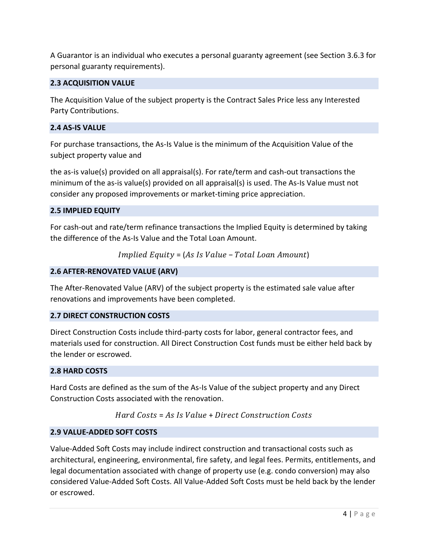A Guarantor is an individual who executes a personal guaranty agreement (see Section 3.6.3 for personal guaranty requirements).

## **2.3 ACQUISITION VALUE**

The Acquisition Value of the subject property is the Contract Sales Price less any Interested Party Contributions.

#### **2.4 AS-IS VALUE**

For purchase transactions, the As-Is Value is the minimum of the Acquisition Value of the subject property value and

the as-is value(s) provided on all appraisal(s). For rate/term and cash-out transactions the minimum of the as-is value(s) provided on all appraisal(s) is used. The As-Is Value must not consider any proposed improvements or market-timing price appreciation.

#### **2.5 IMPLIED EQUITY**

For cash-out and rate/term refinance transactions the Implied Equity is determined by taking the difference of the As-Is Value and the Total Loan Amount.

 $Implied$   $Equity = (As \, Is \, Value - Total \, Loan \, Amount)$ 

## **2.6 AFTER-RENOVATED VALUE (ARV)**

The After-Renovated Value (ARV) of the subject property is the estimated sale value after renovations and improvements have been completed.

## **2.7 DIRECT CONSTRUCTION COSTS**

Direct Construction Costs include third-party costs for labor, general contractor fees, and materials used for construction. All Direct Construction Cost funds must be either held back by the lender or escrowed.

#### **2.8 HARD COSTS**

Hard Costs are defined as the sum of the As-Is Value of the subject property and any Direct Construction Costs associated with the renovation.

## Hard  $Costs = As$  Is Value + Direct Construction Costs

## **2.9 VALUE-ADDED SOFT COSTS**

Value-Added Soft Costs may include indirect construction and transactional costs such as architectural, engineering, environmental, fire safety, and legal fees. Permits, entitlements, and legal documentation associated with change of property use (e.g. condo conversion) may also considered Value-Added Soft Costs. All Value-Added Soft Costs must be held back by the lender or escrowed.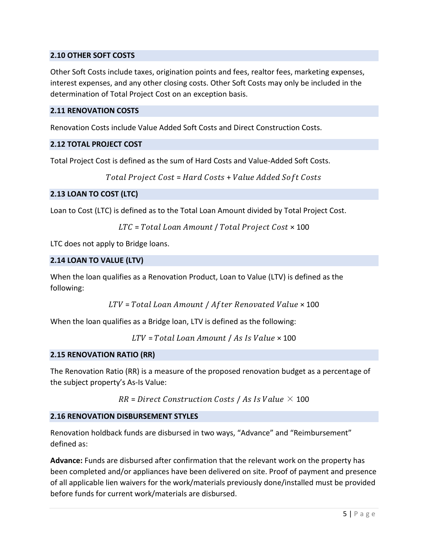## **2.10 OTHER SOFT COSTS**

Other Soft Costs include taxes, origination points and fees, realtor fees, marketing expenses, interest expenses, and any other closing costs. Other Soft Costs may only be included in the determination of Total Project Cost on an exception basis.

#### **2.11 RENOVATION COSTS**

Renovation Costs include Value Added Soft Costs and Direct Construction Costs.

#### **2.12 TOTAL PROJECT COST**

Total Project Cost is defined as the sum of Hard Costs and Value-Added Soft Costs.

```
Total Project Cost = Hard Costs + Value Added Soft Costs
```
## **2.13 LOAN TO COST (LTC)**

Loan to Cost (LTC) is defined as to the Total Loan Amount divided by Total Project Cost.

```
LTC = Total Loan Amount / Total Project Cost \times 100
```
LTC does not apply to Bridge loans.

#### **2.14 LOAN TO VALUE (LTV)**

When the loan qualifies as a Renovation Product, Loan to Value (LTV) is defined as the following:

```
LTV = Total Loan Amount / After Renovated Value \times 100
```
When the loan qualifies as a Bridge loan, LTV is defined as the following:

 $LTV = Total Loan Amount / As Is Value \times 100$ 

#### **2.15 RENOVATION RATIO (RR)**

The Renovation Ratio (RR) is a measure of the proposed renovation budget as a percentage of the subject property's As-Is Value:

```
RR = Direct Construction \textit{Costs} / As \textit{Is Value} \times 100
```
## **2.16 RENOVATION DISBURSEMENT STYLES**

Renovation holdback funds are disbursed in two ways, "Advance" and "Reimbursement" defined as:

**Advance:** Funds are disbursed after confirmation that the relevant work on the property has been completed and/or appliances have been delivered on site. Proof of payment and presence of all applicable lien waivers for the work/materials previously done/installed must be provided before funds for current work/materials are disbursed.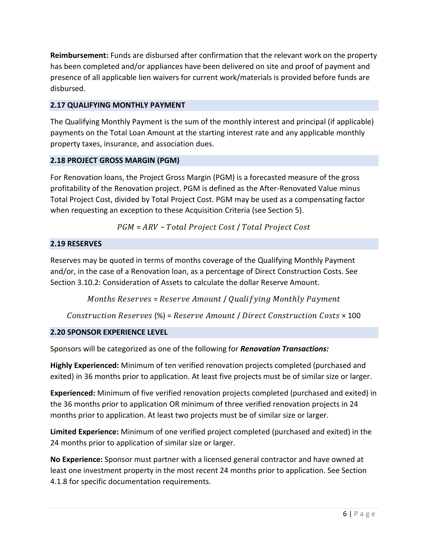**Reimbursement:** Funds are disbursed after confirmation that the relevant work on the property has been completed and/or appliances have been delivered on site and proof of payment and presence of all applicable lien waivers for current work/materials is provided before funds are disbursed.

## **2.17 QUALIFYING MONTHLY PAYMENT**

The Qualifying Monthly Payment is the sum of the monthly interest and principal (if applicable) payments on the Total Loan Amount at the starting interest rate and any applicable monthly property taxes, insurance, and association dues.

## **2.18 PROJECT GROSS MARGIN (PGM)**

For Renovation loans, the Project Gross Margin (PGM) is a forecasted measure of the gross profitability of the Renovation project. PGM is defined as the After-Renovated Value minus Total Project Cost, divided by Total Project Cost. PGM may be used as a compensating factor when requesting an exception to these Acquisition Criteria (see Section 5).

 $PGM = ARV - Total Project Cost / Total Project Cost$ 

## **2.19 RESERVES**

Reserves may be quoted in terms of months coverage of the Qualifying Monthly Payment and/or, in the case of a Renovation loan, as a percentage of Direct Construction Costs. See Section 3.10.2: Consideration of Assets to calculate the dollar Reserve Amount.

Months Reserves =  $Reserve$  Amount / Qualifying Monthly Payment

Construction Reserves (%) =  $Reserve$  Amount / Direct Construction Costs  $\times$  100

## **2.20 SPONSOR EXPERIENCE LEVEL**

Sponsors will be categorized as one of the following for *Renovation Transactions:*

**Highly Experienced:** Minimum of ten verified renovation projects completed (purchased and exited) in 36 months prior to application. At least five projects must be of similar size or larger.

**Experienced:** Minimum of five verified renovation projects completed (purchased and exited) in the 36 months prior to application OR minimum of three verified renovation projects in 24 months prior to application. At least two projects must be of similar size or larger.

**Limited Experience:** Minimum of one verified project completed (purchased and exited) in the 24 months prior to application of similar size or larger.

**No Experience:** Sponsor must partner with a licensed general contractor and have owned at least one investment property in the most recent 24 months prior to application. See Section 4.1.8 for specific documentation requirements.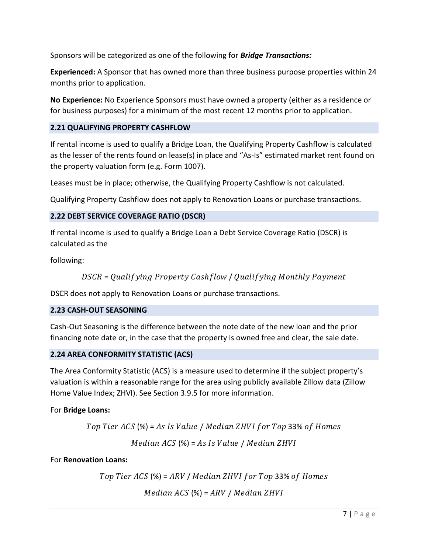Sponsors will be categorized as one of the following for *Bridge Transactions:*

**Experienced:** A Sponsor that has owned more than three business purpose properties within 24 months prior to application.

**No Experience:** No Experience Sponsors must have owned a property (either as a residence or for business purposes) for a minimum of the most recent 12 months prior to application.

## **2.21 QUALIFYING PROPERTY CASHFLOW**

If rental income is used to qualify a Bridge Loan, the Qualifying Property Cashflow is calculated as the lesser of the rents found on lease(s) in place and "As-Is" estimated market rent found on the property valuation form (e.g. Form 1007).

Leases must be in place; otherwise, the Qualifying Property Cashflow is not calculated.

Qualifying Property Cashflow does not apply to Renovation Loans or purchase transactions.

## **2.22 DEBT SERVICE COVERAGE RATIO (DSCR)**

If rental income is used to qualify a Bridge Loan a Debt Service Coverage Ratio (DSCR) is calculated as the

following:

$$
DSCR = Qualitying Property Cash flow / Qualitying Monthly Payment
$$

DSCR does not apply to Renovation Loans or purchase transactions.

## **2.23 CASH-OUT SEASONING**

Cash-Out Seasoning is the difference between the note date of the new loan and the prior financing note date or, in the case that the property is owned free and clear, the sale date.

## **2.24 AREA CONFORMITY STATISTIC (ACS)**

The Area Conformity Statistic (ACS) is a measure used to determine if the subject property's valuation is within a reasonable range for the area using publicly available Zillow data (Zillow Home Value Index; ZHVI). See Section 3.9.5 for more information.

For **Bridge Loans:**

Top Tier ACS  $(\%)$  = As Is Value / Median ZHVI for Top 33% of Homes

 $Median$   $ACS$  (%) =  $As$  Is Value / Median  $ZHVI$ 

For **Renovation Loans:**

Top Tier ACS  $(\%)$  = ARV / Median ZHVI for Top 33% of Homes

 $Median$   $ACS$  (%) =  $ARY / Median$   $ZHV$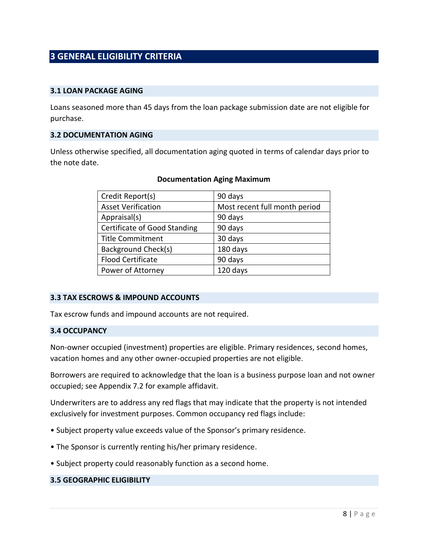## **3 GENERAL ELIGIBILITY CRITERIA**

#### **3.1 LOAN PACKAGE AGING**

Loans seasoned more than 45 days from the loan package submission date are not eligible for purchase.

#### **3.2 DOCUMENTATION AGING**

Unless otherwise specified, all documentation aging quoted in terms of calendar days prior to the note date.

| Credit Report(s)             | 90 days                       |
|------------------------------|-------------------------------|
| <b>Asset Verification</b>    | Most recent full month period |
| Appraisal(s)                 | 90 days                       |
| Certificate of Good Standing | 90 days                       |
| <b>Title Commitment</b>      | 30 days                       |
| Background Check(s)          | 180 days                      |
| <b>Flood Certificate</b>     | 90 days                       |
| Power of Attorney            | 120 days                      |

#### **Documentation Aging Maximum**

#### **3.3 TAX ESCROWS & IMPOUND ACCOUNTS**

Tax escrow funds and impound accounts are not required.

#### **3.4 OCCUPANCY**

Non-owner occupied (investment) properties are eligible. Primary residences, second homes, vacation homes and any other owner-occupied properties are not eligible.

Borrowers are required to acknowledge that the loan is a business purpose loan and not owner occupied; see Appendix 7.2 for example affidavit.

Underwriters are to address any red flags that may indicate that the property is not intended exclusively for investment purposes. Common occupancy red flags include:

- Subject property value exceeds value of the Sponsor's primary residence.
- The Sponsor is currently renting his/her primary residence.
- Subject property could reasonably function as a second home.

#### **3.5 GEOGRAPHIC ELIGIBILITY**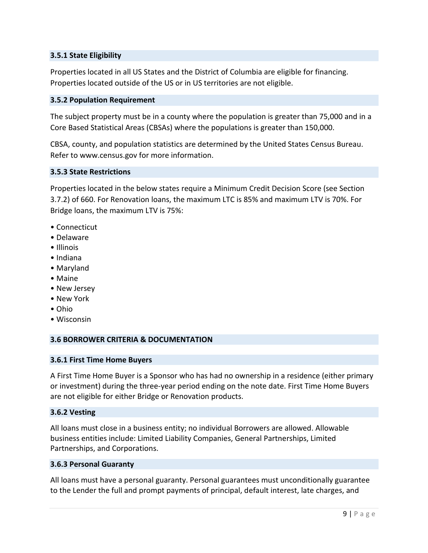#### **3.5.1 State Eligibility**

Properties located in all US States and the District of Columbia are eligible for financing. Properties located outside of the US or in US territories are not eligible.

#### **3.5.2 Population Requirement**

The subject property must be in a county where the population is greater than 75,000 and in a Core Based Statistical Areas (CBSAs) where the populations is greater than 150,000.

CBSA, county, and population statistics are determined by the United States Census Bureau. Refer to www.census.gov for more information.

#### **3.5.3 State Restrictions**

Properties located in the below states require a Minimum Credit Decision Score (see Section 3.7.2) of 660. For Renovation loans, the maximum LTC is 85% and maximum LTV is 70%. For Bridge loans, the maximum LTV is 75%:

- Connecticut
- Delaware
- Illinois
- Indiana
- Maryland
- Maine
- New Jersey
- New York
- Ohio
- Wisconsin

#### **3.6 BORROWER CRITERIA & DOCUMENTATION**

#### **3.6.1 First Time Home Buyers**

A First Time Home Buyer is a Sponsor who has had no ownership in a residence (either primary or investment) during the three-year period ending on the note date. First Time Home Buyers are not eligible for either Bridge or Renovation products.

#### **3.6.2 Vesting**

All loans must close in a business entity; no individual Borrowers are allowed. Allowable business entities include: Limited Liability Companies, General Partnerships, Limited Partnerships, and Corporations.

#### **3.6.3 Personal Guaranty**

All loans must have a personal guaranty. Personal guarantees must unconditionally guarantee to the Lender the full and prompt payments of principal, default interest, late charges, and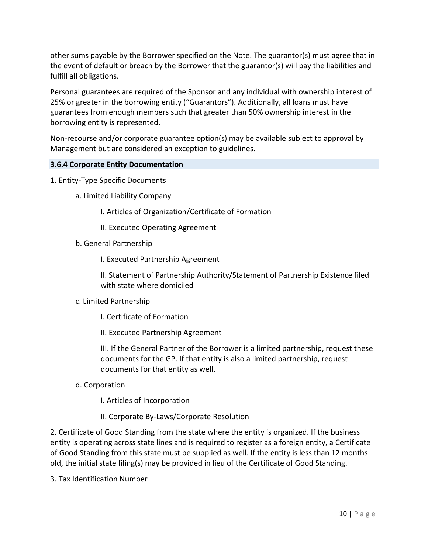other sums payable by the Borrower specified on the Note. The guarantor(s) must agree that in the event of default or breach by the Borrower that the guarantor(s) will pay the liabilities and fulfill all obligations.

Personal guarantees are required of the Sponsor and any individual with ownership interest of 25% or greater in the borrowing entity ("Guarantors"). Additionally, all loans must have guarantees from enough members such that greater than 50% ownership interest in the borrowing entity is represented.

Non-recourse and/or corporate guarantee option(s) may be available subject to approval by Management but are considered an exception to guidelines.

#### **3.6.4 Corporate Entity Documentation**

- 1. Entity-Type Specific Documents
	- a. Limited Liability Company
		- I. Articles of Organization/Certificate of Formation
		- II. Executed Operating Agreement
	- b. General Partnership
		- I. Executed Partnership Agreement

II. Statement of Partnership Authority/Statement of Partnership Existence filed with state where domiciled

- c. Limited Partnership
	- I. Certificate of Formation
	- II. Executed Partnership Agreement

III. If the General Partner of the Borrower is a limited partnership, request these documents for the GP. If that entity is also a limited partnership, request documents for that entity as well.

d. Corporation

I. Articles of Incorporation

II. Corporate By-Laws/Corporate Resolution

2. Certificate of Good Standing from the state where the entity is organized. If the business entity is operating across state lines and is required to register as a foreign entity, a Certificate of Good Standing from this state must be supplied as well. If the entity is less than 12 months old, the initial state filing(s) may be provided in lieu of the Certificate of Good Standing.

3. Tax Identification Number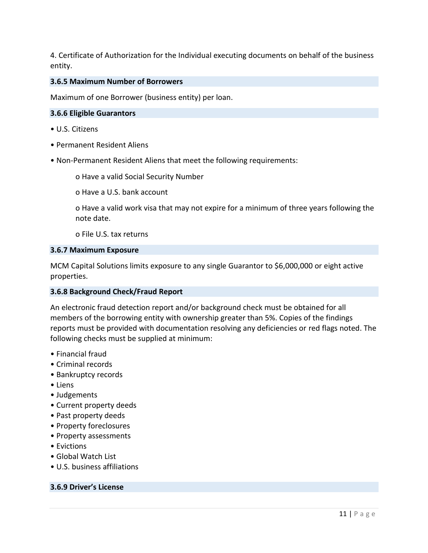4. Certificate of Authorization for the Individual executing documents on behalf of the business entity.

#### **3.6.5 Maximum Number of Borrowers**

Maximum of one Borrower (business entity) per loan.

#### **3.6.6 Eligible Guarantors**

- U.S. Citizens
- Permanent Resident Aliens
- Non-Permanent Resident Aliens that meet the following requirements:

o Have a valid Social Security Number

o Have a U.S. bank account

o Have a valid work visa that may not expire for a minimum of three years following the note date.

o File U.S. tax returns

#### **3.6.7 Maximum Exposure**

MCM Capital Solutions limits exposure to any single Guarantor to \$6,000,000 or eight active properties.

#### **3.6.8 Background Check/Fraud Report**

An electronic fraud detection report and/or background check must be obtained for all members of the borrowing entity with ownership greater than 5%. Copies of the findings reports must be provided with documentation resolving any deficiencies or red flags noted. The following checks must be supplied at minimum:

- Financial fraud
- Criminal records
- Bankruptcy records
- Liens
- Judgements
- Current property deeds
- Past property deeds
- Property foreclosures
- Property assessments
- Evictions
- Global Watch List
- U.S. business affiliations

#### **3.6.9 Driver's License**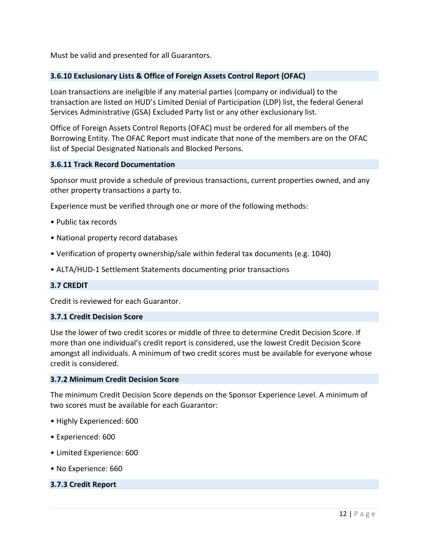Must be valid and presented for all Guarantors.

#### **3.6.10 Exclusionary Lists & Office of Foreign Assets Control Report (OFAC)**

Loan transactions are ineligible if any material parties (company or individual) to the transaction are listed on HUD's Limited Denial of Participation (LDP) list, the federal General Services Administrative (GSA) Excluded Party list or any other exclusionary list.

Office of Foreign Assets Control Reports (OFAC) must be ordered for all members of the Borrowing Entity. The OFAC Report must indicate that none of the members are on the OFAC list of Special Designated Nationals and Blocked Persons.

#### **3.6.11 Track Record Documentation**

Sponsor must provide a schedule of previous transactions, current properties owned, and any other property transactions a party to.

Experience must be verified through one or more of the following methods:

- Public tax records
- National property record databases
- Verification of property ownership/sale within federal tax documents (e.g. 1040)
- ALTA/HUD-1 Settlement Statements documenting prior transactions

#### **3.7 CREDIT**

Credit is reviewed for each Guarantor.

#### **3.7.1 Credit Decision Score**

Use the lower of two credit scores or middle of three to determine Credit Decision Score. If more than one individual's credit report is considered, use the lowest Credit Decision Score amongst all individuals. A minimum of two credit scores must be available for everyone whose credit is considered.

#### **3.7.2 Minimum Credit Decision Score**

The minimum Credit Decision Score depends on the Sponsor Experience Level. A minimum of two scores must be available for each Guarantor:

- Highly Experienced: 600
- Experienced: 600
- Limited Experience: 600
- No Experience: 660

#### **3.7.3 Credit Report**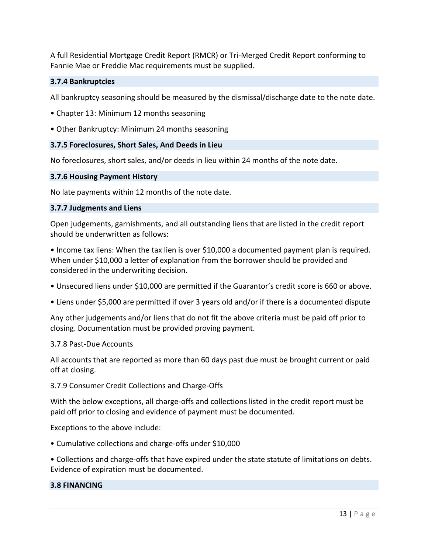A full Residential Mortgage Credit Report (RMCR) or Tri-Merged Credit Report conforming to Fannie Mae or Freddie Mac requirements must be supplied.

#### **3.7.4 Bankruptcies**

All bankruptcy seasoning should be measured by the dismissal/discharge date to the note date.

- Chapter 13: Minimum 12 months seasoning
- Other Bankruptcy: Minimum 24 months seasoning

#### **3.7.5 Foreclosures, Short Sales, And Deeds in Lieu**

No foreclosures, short sales, and/or deeds in lieu within 24 months of the note date.

#### **3.7.6 Housing Payment History**

No late payments within 12 months of the note date.

#### **3.7.7 Judgments and Liens**

Open judgements, garnishments, and all outstanding liens that are listed in the credit report should be underwritten as follows:

• Income tax liens: When the tax lien is over \$10,000 a documented payment plan is required. When under \$10,000 a letter of explanation from the borrower should be provided and considered in the underwriting decision.

- Unsecured liens under \$10,000 are permitted if the Guarantor's credit score is 660 or above.
- Liens under \$5,000 are permitted if over 3 years old and/or if there is a documented dispute

Any other judgements and/or liens that do not fit the above criteria must be paid off prior to closing. Documentation must be provided proving payment.

#### 3.7.8 Past-Due Accounts

All accounts that are reported as more than 60 days past due must be brought current or paid off at closing.

3.7.9 Consumer Credit Collections and Charge-Offs

With the below exceptions, all charge-offs and collections listed in the credit report must be paid off prior to closing and evidence of payment must be documented.

Exceptions to the above include:

- Cumulative collections and charge-offs under \$10,000
- Collections and charge-offs that have expired under the state statute of limitations on debts. Evidence of expiration must be documented.

#### **3.8 FINANCING**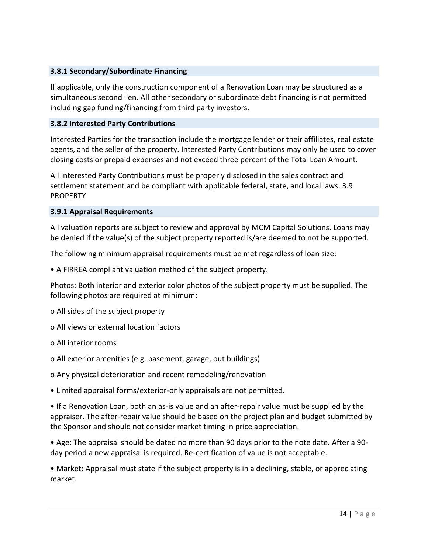#### **3.8.1 Secondary/Subordinate Financing**

If applicable, only the construction component of a Renovation Loan may be structured as a simultaneous second lien. All other secondary or subordinate debt financing is not permitted including gap funding/financing from third party investors.

#### **3.8.2 Interested Party Contributions**

Interested Parties for the transaction include the mortgage lender or their affiliates, real estate agents, and the seller of the property. Interested Party Contributions may only be used to cover closing costs or prepaid expenses and not exceed three percent of the Total Loan Amount.

All Interested Party Contributions must be properly disclosed in the sales contract and settlement statement and be compliant with applicable federal, state, and local laws. 3.9 **PROPERTY** 

#### **3.9.1 Appraisal Requirements**

All valuation reports are subject to review and approval by MCM Capital Solutions. Loans may be denied if the value(s) of the subject property reported is/are deemed to not be supported.

The following minimum appraisal requirements must be met regardless of loan size:

• A FIRREA compliant valuation method of the subject property.

Photos: Both interior and exterior color photos of the subject property must be supplied. The following photos are required at minimum:

o All sides of the subject property

- o All views or external location factors
- o All interior rooms
- o All exterior amenities (e.g. basement, garage, out buildings)
- o Any physical deterioration and recent remodeling/renovation

• Limited appraisal forms/exterior-only appraisals are not permitted.

• If a Renovation Loan, both an as-is value and an after-repair value must be supplied by the appraiser. The after-repair value should be based on the project plan and budget submitted by the Sponsor and should not consider market timing in price appreciation.

• Age: The appraisal should be dated no more than 90 days prior to the note date. After a 90 day period a new appraisal is required. Re-certification of value is not acceptable.

• Market: Appraisal must state if the subject property is in a declining, stable, or appreciating market.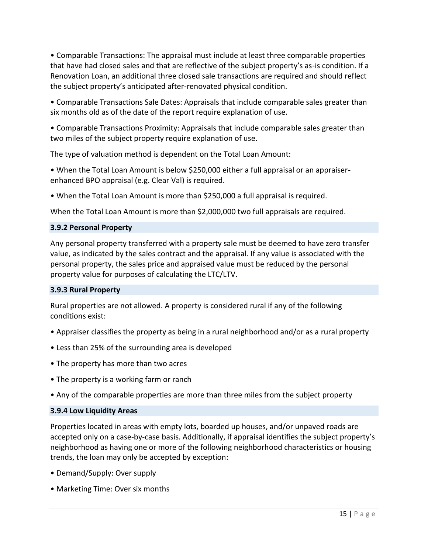• Comparable Transactions: The appraisal must include at least three comparable properties that have had closed sales and that are reflective of the subject property's as-is condition. If a Renovation Loan, an additional three closed sale transactions are required and should reflect the subject property's anticipated after-renovated physical condition.

• Comparable Transactions Sale Dates: Appraisals that include comparable sales greater than six months old as of the date of the report require explanation of use.

• Comparable Transactions Proximity: Appraisals that include comparable sales greater than two miles of the subject property require explanation of use.

The type of valuation method is dependent on the Total Loan Amount:

• When the Total Loan Amount is below \$250,000 either a full appraisal or an appraiserenhanced BPO appraisal (e.g. Clear Val) is required.

• When the Total Loan Amount is more than \$250,000 a full appraisal is required.

When the Total Loan Amount is more than \$2,000,000 two full appraisals are required.

#### **3.9.2 Personal Property**

Any personal property transferred with a property sale must be deemed to have zero transfer value, as indicated by the sales contract and the appraisal. If any value is associated with the personal property, the sales price and appraised value must be reduced by the personal property value for purposes of calculating the LTC/LTV.

#### **3.9.3 Rural Property**

Rural properties are not allowed. A property is considered rural if any of the following conditions exist:

- Appraiser classifies the property as being in a rural neighborhood and/or as a rural property
- Less than 25% of the surrounding area is developed
- The property has more than two acres
- The property is a working farm or ranch
- Any of the comparable properties are more than three miles from the subject property

#### **3.9.4 Low Liquidity Areas**

Properties located in areas with empty lots, boarded up houses, and/or unpaved roads are accepted only on a case-by-case basis. Additionally, if appraisal identifies the subject property's neighborhood as having one or more of the following neighborhood characteristics or housing trends, the loan may only be accepted by exception:

- Demand/Supply: Over supply
- Marketing Time: Over six months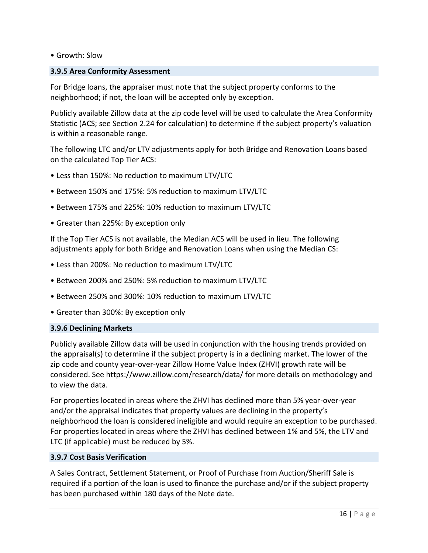• Growth: Slow

#### **3.9.5 Area Conformity Assessment**

For Bridge loans, the appraiser must note that the subject property conforms to the neighborhood; if not, the loan will be accepted only by exception.

Publicly available Zillow data at the zip code level will be used to calculate the Area Conformity Statistic (ACS; see Section 2.24 for calculation) to determine if the subject property's valuation is within a reasonable range.

The following LTC and/or LTV adjustments apply for both Bridge and Renovation Loans based on the calculated Top Tier ACS:

- Less than 150%: No reduction to maximum LTV/LTC
- Between 150% and 175%: 5% reduction to maximum LTV/LTC
- Between 175% and 225%: 10% reduction to maximum LTV/LTC
- Greater than 225%: By exception only

If the Top Tier ACS is not available, the Median ACS will be used in lieu. The following adjustments apply for both Bridge and Renovation Loans when using the Median CS:

- Less than 200%: No reduction to maximum LTV/LTC
- Between 200% and 250%: 5% reduction to maximum LTV/LTC
- Between 250% and 300%: 10% reduction to maximum LTV/LTC
- Greater than 300%: By exception only

#### **3.9.6 Declining Markets**

Publicly available Zillow data will be used in conjunction with the housing trends provided on the appraisal(s) to determine if the subject property is in a declining market. The lower of the zip code and county year-over-year Zillow Home Value Index (ZHVI) growth rate will be considered. See https://www.zillow.com/research/data/ for more details on methodology and to view the data.

For properties located in areas where the ZHVI has declined more than 5% year-over-year and/or the appraisal indicates that property values are declining in the property's neighborhood the loan is considered ineligible and would require an exception to be purchased. For properties located in areas where the ZHVI has declined between 1% and 5%, the LTV and LTC (if applicable) must be reduced by 5%.

#### **3.9.7 Cost Basis Verification**

A Sales Contract, Settlement Statement, or Proof of Purchase from Auction/Sheriff Sale is required if a portion of the loan is used to finance the purchase and/or if the subject property has been purchased within 180 days of the Note date.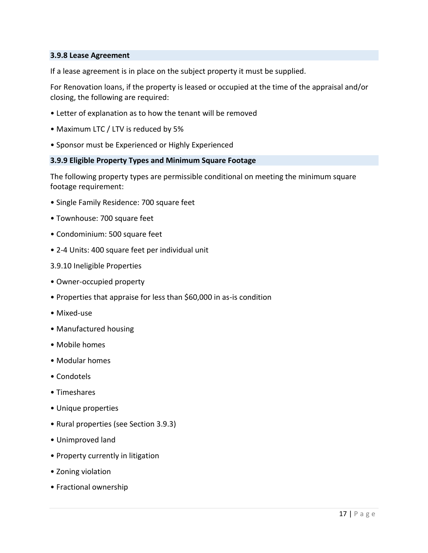#### **3.9.8 Lease Agreement**

If a lease agreement is in place on the subject property it must be supplied.

For Renovation loans, if the property is leased or occupied at the time of the appraisal and/or closing, the following are required:

- Letter of explanation as to how the tenant will be removed
- Maximum LTC / LTV is reduced by 5%
- Sponsor must be Experienced or Highly Experienced

#### **3.9.9 Eligible Property Types and Minimum Square Footage**

The following property types are permissible conditional on meeting the minimum square footage requirement:

- Single Family Residence: 700 square feet
- Townhouse: 700 square feet
- Condominium: 500 square feet
- 2-4 Units: 400 square feet per individual unit
- 3.9.10 Ineligible Properties
- Owner-occupied property
- Properties that appraise for less than \$60,000 in as-is condition
- Mixed-use
- Manufactured housing
- Mobile homes
- Modular homes
- Condotels
- Timeshares
- Unique properties
- Rural properties (see Section 3.9.3)
- Unimproved land
- Property currently in litigation
- Zoning violation
- Fractional ownership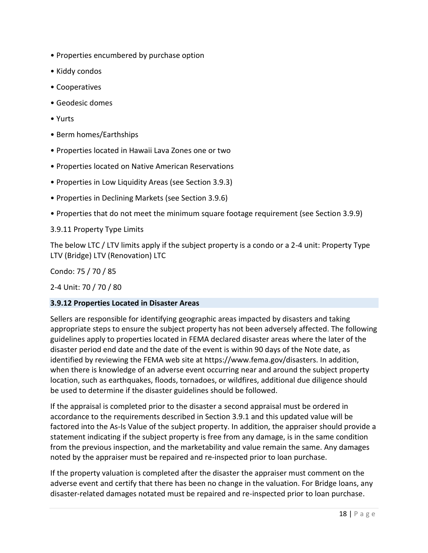- Properties encumbered by purchase option
- Kiddy condos
- Cooperatives
- Geodesic domes
- Yurts
- Berm homes/Earthships
- Properties located in Hawaii Lava Zones one or two
- Properties located on Native American Reservations
- Properties in Low Liquidity Areas (see Section 3.9.3)
- Properties in Declining Markets (see Section 3.9.6)
- Properties that do not meet the minimum square footage requirement (see Section 3.9.9)

3.9.11 Property Type Limits

The below LTC / LTV limits apply if the subject property is a condo or a 2-4 unit: Property Type LTV (Bridge) LTV (Renovation) LTC

Condo: 75 / 70 / 85

2-4 Unit: 70 / 70 / 80

## **3.9.12 Properties Located in Disaster Areas**

Sellers are responsible for identifying geographic areas impacted by disasters and taking appropriate steps to ensure the subject property has not been adversely affected. The following guidelines apply to properties located in FEMA declared disaster areas where the later of the disaster period end date and the date of the event is within 90 days of the Note date, as identified by reviewing the FEMA web site at https://www.fema.gov/disasters. In addition, when there is knowledge of an adverse event occurring near and around the subject property location, such as earthquakes, floods, tornadoes, or wildfires, additional due diligence should be used to determine if the disaster guidelines should be followed.

If the appraisal is completed prior to the disaster a second appraisal must be ordered in accordance to the requirements described in Section 3.9.1 and this updated value will be factored into the As-Is Value of the subject property. In addition, the appraiser should provide a statement indicating if the subject property is free from any damage, is in the same condition from the previous inspection, and the marketability and value remain the same. Any damages noted by the appraiser must be repaired and re-inspected prior to loan purchase.

If the property valuation is completed after the disaster the appraiser must comment on the adverse event and certify that there has been no change in the valuation. For Bridge loans, any disaster-related damages notated must be repaired and re-inspected prior to loan purchase.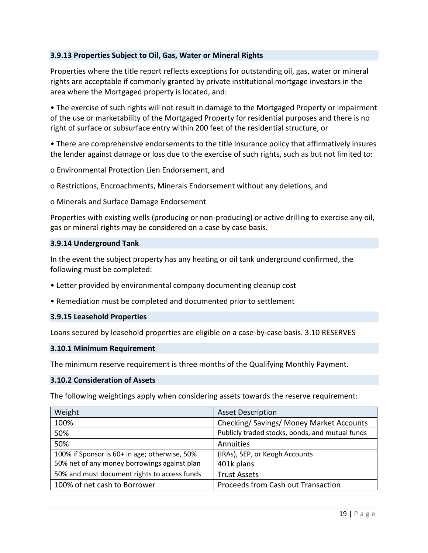#### **3.9.13 Properties Subject to Oil, Gas, Water or Mineral Rights**

Properties where the title report reflects exceptions for outstanding oil, gas, water or mineral rights are acceptable if commonly granted by private institutional mortgage investors in the area where the Mortgaged property is located, and:

• The exercise of such rights will not result in damage to the Mortgaged Property or impairment of the use or marketability of the Mortgaged Property for residential purposes and there is no right of surface or subsurface entry within 200 feet of the residential structure, or

• There are comprehensive endorsements to the title insurance policy that affirmatively insures the lender against damage or loss due to the exercise of such rights, such as but not limited to:

o Environmental Protection Lien Endorsement, and

o Restrictions, Encroachments, Minerals Endorsement without any deletions, and

o Minerals and Surface Damage Endorsement

Properties with existing wells (producing or non-producing) or active drilling to exercise any oil, gas or mineral rights may be considered on a case by case basis.

#### **3.9.14 Underground Tank**

In the event the subject property has any heating or oil tank underground confirmed, the following must be completed:

• Letter provided by environmental company documenting cleanup cost

• Remediation must be completed and documented prior to settlement

#### **3.9.15 Leasehold Properties**

Loans secured by leasehold properties are eligible on a case-by-case basis. 3.10 RESERVES

#### **3.10.1 Minimum Requirement**

The minimum reserve requirement is three months of the Qualifying Monthly Payment.

#### **3.10.2 Consideration of Assets**

The following weightings apply when considering assets towards the reserve requirement:

| Weight                                        | <b>Asset Description</b>                        |
|-----------------------------------------------|-------------------------------------------------|
| 100%                                          | Checking/ Savings/ Money Market Accounts        |
| 50%                                           | Publicly traded stocks, bonds, and mutual funds |
| 50%                                           | Annuities                                       |
| 100% if Sponsor is 60+ in age; otherwise, 50% | (IRAs), SEP, or Keogh Accounts                  |
| 50% net of any money borrowings against plan  | 401k plans                                      |
| 50% and must document rights to access funds  | <b>Trust Assets</b>                             |
| 100% of net cash to Borrower                  | Proceeds from Cash out Transaction              |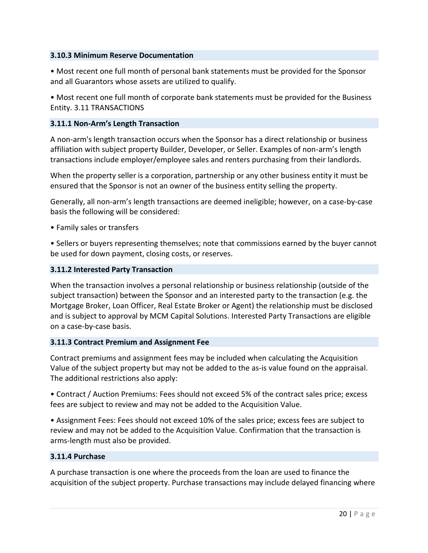#### **3.10.3 Minimum Reserve Documentation**

• Most recent one full month of personal bank statements must be provided for the Sponsor and all Guarantors whose assets are utilized to qualify.

• Most recent one full month of corporate bank statements must be provided for the Business Entity. 3.11 TRANSACTIONS

#### **3.11.1 Non-Arm's Length Transaction**

A non-arm's length transaction occurs when the Sponsor has a direct relationship or business affiliation with subject property Builder, Developer, or Seller. Examples of non-arm's length transactions include employer/employee sales and renters purchasing from their landlords.

When the property seller is a corporation, partnership or any other business entity it must be ensured that the Sponsor is not an owner of the business entity selling the property.

Generally, all non-arm's length transactions are deemed ineligible; however, on a case-by-case basis the following will be considered:

• Family sales or transfers

• Sellers or buyers representing themselves; note that commissions earned by the buyer cannot be used for down payment, closing costs, or reserves.

#### **3.11.2 Interested Party Transaction**

When the transaction involves a personal relationship or business relationship (outside of the subject transaction) between the Sponsor and an interested party to the transaction (e.g. the Mortgage Broker, Loan Officer, Real Estate Broker or Agent) the relationship must be disclosed and is subject to approval by MCM Capital Solutions. Interested Party Transactions are eligible on a case-by-case basis.

#### **3.11.3 Contract Premium and Assignment Fee**

Contract premiums and assignment fees may be included when calculating the Acquisition Value of the subject property but may not be added to the as-is value found on the appraisal. The additional restrictions also apply:

• Contract / Auction Premiums: Fees should not exceed 5% of the contract sales price; excess fees are subject to review and may not be added to the Acquisition Value.

• Assignment Fees: Fees should not exceed 10% of the sales price; excess fees are subject to review and may not be added to the Acquisition Value. Confirmation that the transaction is arms-length must also be provided.

#### **3.11.4 Purchase**

A purchase transaction is one where the proceeds from the loan are used to finance the acquisition of the subject property. Purchase transactions may include delayed financing where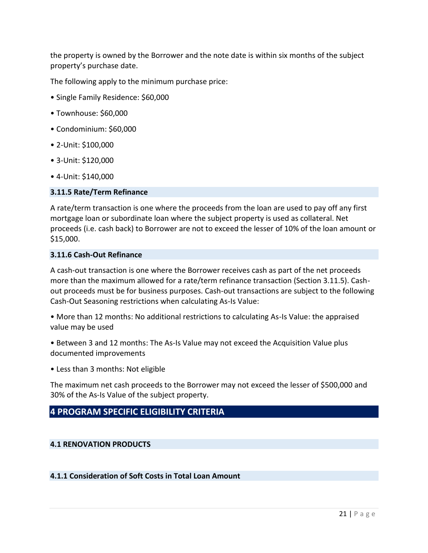the property is owned by the Borrower and the note date is within six months of the subject property's purchase date.

The following apply to the minimum purchase price:

- Single Family Residence: \$60,000
- Townhouse: \$60,000
- Condominium: \$60,000
- 2-Unit: \$100,000
- 3-Unit: \$120,000
- 4-Unit: \$140,000

#### **3.11.5 Rate/Term Refinance**

A rate/term transaction is one where the proceeds from the loan are used to pay off any first mortgage loan or subordinate loan where the subject property is used as collateral. Net proceeds (i.e. cash back) to Borrower are not to exceed the lesser of 10% of the loan amount or \$15,000.

#### **3.11.6 Cash-Out Refinance**

A cash-out transaction is one where the Borrower receives cash as part of the net proceeds more than the maximum allowed for a rate/term refinance transaction (Section 3.11.5). Cashout proceeds must be for business purposes. Cash-out transactions are subject to the following Cash-Out Seasoning restrictions when calculating As-Is Value:

• More than 12 months: No additional restrictions to calculating As-Is Value: the appraised value may be used

• Between 3 and 12 months: The As-Is Value may not exceed the Acquisition Value plus documented improvements

• Less than 3 months: Not eligible

The maximum net cash proceeds to the Borrower may not exceed the lesser of \$500,000 and 30% of the As-Is Value of the subject property.

## **4 PROGRAM SPECIFIC ELIGIBILITY CRITERIA**

#### **4.1 RENOVATION PRODUCTS**

#### **4.1.1 Consideration of Soft Costs in Total Loan Amount**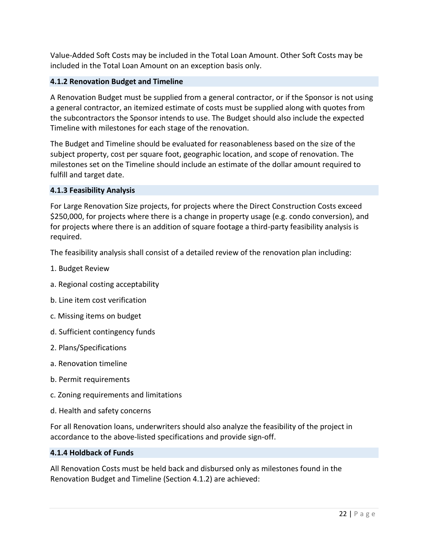Value-Added Soft Costs may be included in the Total Loan Amount. Other Soft Costs may be included in the Total Loan Amount on an exception basis only.

## **4.1.2 Renovation Budget and Timeline**

A Renovation Budget must be supplied from a general contractor, or if the Sponsor is not using a general contractor, an itemized estimate of costs must be supplied along with quotes from the subcontractors the Sponsor intends to use. The Budget should also include the expected Timeline with milestones for each stage of the renovation.

The Budget and Timeline should be evaluated for reasonableness based on the size of the subject property, cost per square foot, geographic location, and scope of renovation. The milestones set on the Timeline should include an estimate of the dollar amount required to fulfill and target date.

## **4.1.3 Feasibility Analysis**

For Large Renovation Size projects, for projects where the Direct Construction Costs exceed \$250,000, for projects where there is a change in property usage (e.g. condo conversion), and for projects where there is an addition of square footage a third-party feasibility analysis is required.

The feasibility analysis shall consist of a detailed review of the renovation plan including:

- 1. Budget Review
- a. Regional costing acceptability
- b. Line item cost verification
- c. Missing items on budget
- d. Sufficient contingency funds
- 2. Plans/Specifications
- a. Renovation timeline
- b. Permit requirements
- c. Zoning requirements and limitations
- d. Health and safety concerns

For all Renovation loans, underwriters should also analyze the feasibility of the project in accordance to the above-listed specifications and provide sign-off.

#### **4.1.4 Holdback of Funds**

All Renovation Costs must be held back and disbursed only as milestones found in the Renovation Budget and Timeline (Section 4.1.2) are achieved: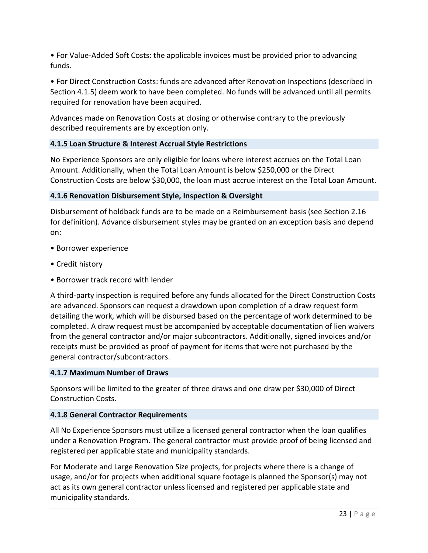• For Value-Added Soft Costs: the applicable invoices must be provided prior to advancing funds.

• For Direct Construction Costs: funds are advanced after Renovation Inspections (described in Section 4.1.5) deem work to have been completed. No funds will be advanced until all permits required for renovation have been acquired.

Advances made on Renovation Costs at closing or otherwise contrary to the previously described requirements are by exception only.

## **4.1.5 Loan Structure & Interest Accrual Style Restrictions**

No Experience Sponsors are only eligible for loans where interest accrues on the Total Loan Amount. Additionally, when the Total Loan Amount is below \$250,000 or the Direct Construction Costs are below \$30,000, the loan must accrue interest on the Total Loan Amount.

## **4.1.6 Renovation Disbursement Style, Inspection & Oversight**

Disbursement of holdback funds are to be made on a Reimbursement basis (see Section 2.16 for definition). Advance disbursement styles may be granted on an exception basis and depend on:

- Borrower experience
- Credit history
- Borrower track record with lender

A third-party inspection is required before any funds allocated for the Direct Construction Costs are advanced. Sponsors can request a drawdown upon completion of a draw request form detailing the work, which will be disbursed based on the percentage of work determined to be completed. A draw request must be accompanied by acceptable documentation of lien waivers from the general contractor and/or major subcontractors. Additionally, signed invoices and/or receipts must be provided as proof of payment for items that were not purchased by the general contractor/subcontractors.

## **4.1.7 Maximum Number of Draws**

Sponsors will be limited to the greater of three draws and one draw per \$30,000 of Direct Construction Costs.

## **4.1.8 General Contractor Requirements**

All No Experience Sponsors must utilize a licensed general contractor when the loan qualifies under a Renovation Program. The general contractor must provide proof of being licensed and registered per applicable state and municipality standards.

For Moderate and Large Renovation Size projects, for projects where there is a change of usage, and/or for projects when additional square footage is planned the Sponsor(s) may not act as its own general contractor unless licensed and registered per applicable state and municipality standards.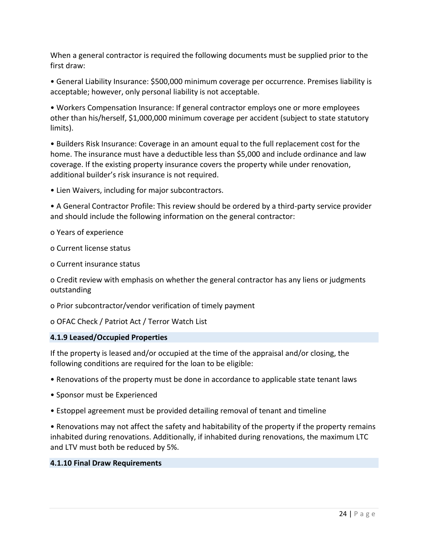When a general contractor is required the following documents must be supplied prior to the first draw:

• General Liability Insurance: \$500,000 minimum coverage per occurrence. Premises liability is acceptable; however, only personal liability is not acceptable.

• Workers Compensation Insurance: If general contractor employs one or more employees other than his/herself, \$1,000,000 minimum coverage per accident (subject to state statutory limits).

• Builders Risk Insurance: Coverage in an amount equal to the full replacement cost for the home. The insurance must have a deductible less than \$5,000 and include ordinance and law coverage. If the existing property insurance covers the property while under renovation, additional builder's risk insurance is not required.

• Lien Waivers, including for major subcontractors.

• A General Contractor Profile: This review should be ordered by a third-party service provider and should include the following information on the general contractor:

o Years of experience

o Current license status

o Current insurance status

o Credit review with emphasis on whether the general contractor has any liens or judgments outstanding

o Prior subcontractor/vendor verification of timely payment

o OFAC Check / Patriot Act / Terror Watch List

#### **4.1.9 Leased/Occupied Properties**

If the property is leased and/or occupied at the time of the appraisal and/or closing, the following conditions are required for the loan to be eligible:

- Renovations of the property must be done in accordance to applicable state tenant laws
- Sponsor must be Experienced
- Estoppel agreement must be provided detailing removal of tenant and timeline

• Renovations may not affect the safety and habitability of the property if the property remains inhabited during renovations. Additionally, if inhabited during renovations, the maximum LTC and LTV must both be reduced by 5%.

#### **4.1.10 Final Draw Requirements**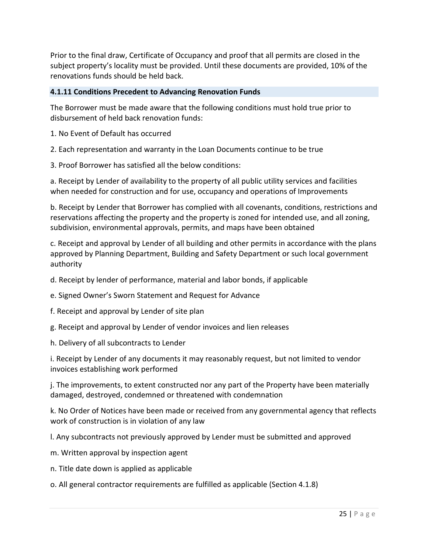Prior to the final draw, Certificate of Occupancy and proof that all permits are closed in the subject property's locality must be provided. Until these documents are provided, 10% of the renovations funds should be held back.

## **4.1.11 Conditions Precedent to Advancing Renovation Funds**

The Borrower must be made aware that the following conditions must hold true prior to disbursement of held back renovation funds:

1. No Event of Default has occurred

2. Each representation and warranty in the Loan Documents continue to be true

3. Proof Borrower has satisfied all the below conditions:

a. Receipt by Lender of availability to the property of all public utility services and facilities when needed for construction and for use, occupancy and operations of Improvements

b. Receipt by Lender that Borrower has complied with all covenants, conditions, restrictions and reservations affecting the property and the property is zoned for intended use, and all zoning, subdivision, environmental approvals, permits, and maps have been obtained

c. Receipt and approval by Lender of all building and other permits in accordance with the plans approved by Planning Department, Building and Safety Department or such local government authority

d. Receipt by lender of performance, material and labor bonds, if applicable

e. Signed Owner's Sworn Statement and Request for Advance

f. Receipt and approval by Lender of site plan

g. Receipt and approval by Lender of vendor invoices and lien releases

h. Delivery of all subcontracts to Lender

i. Receipt by Lender of any documents it may reasonably request, but not limited to vendor invoices establishing work performed

j. The improvements, to extent constructed nor any part of the Property have been materially damaged, destroyed, condemned or threatened with condemnation

k. No Order of Notices have been made or received from any governmental agency that reflects work of construction is in violation of any law

l. Any subcontracts not previously approved by Lender must be submitted and approved

m. Written approval by inspection agent

n. Title date down is applied as applicable

o. All general contractor requirements are fulfilled as applicable (Section 4.1.8)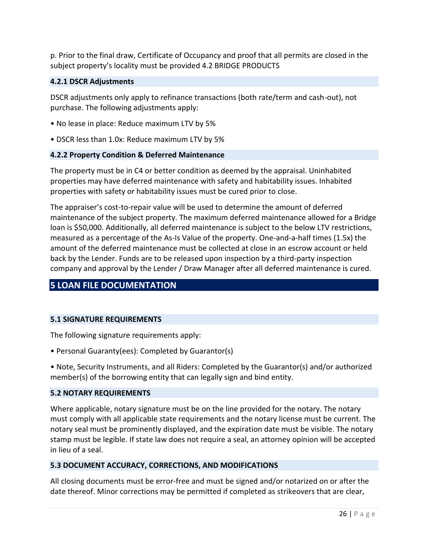p. Prior to the final draw, Certificate of Occupancy and proof that all permits are closed in the subject property's locality must be provided 4.2 BRIDGE PRODUCTS

#### **4.2.1 DSCR Adjustments**

DSCR adjustments only apply to refinance transactions (both rate/term and cash-out), not purchase. The following adjustments apply:

- No lease in place: Reduce maximum LTV by 5%
- DSCR less than 1.0x: Reduce maximum LTV by 5%

#### **4.2.2 Property Condition & Deferred Maintenance**

The property must be in C4 or better condition as deemed by the appraisal. Uninhabited properties may have deferred maintenance with safety and habitability issues. Inhabited properties with safety or habitability issues must be cured prior to close.

The appraiser's cost-to-repair value will be used to determine the amount of deferred maintenance of the subject property. The maximum deferred maintenance allowed for a Bridge loan is \$50,000. Additionally, all deferred maintenance is subject to the below LTV restrictions, measured as a percentage of the As-Is Value of the property. One-and-a-half times (1.5x) the amount of the deferred maintenance must be collected at close in an escrow account or held back by the Lender. Funds are to be released upon inspection by a third-party inspection company and approval by the Lender / Draw Manager after all deferred maintenance is cured.

## **5 LOAN FILE DOCUMENTATION**

#### **5.1 SIGNATURE REQUIREMENTS**

The following signature requirements apply:

• Personal Guaranty(ees): Completed by Guarantor(s)

• Note, Security Instruments, and all Riders: Completed by the Guarantor(s) and/or authorized member(s) of the borrowing entity that can legally sign and bind entity.

#### **5.2 NOTARY REQUIREMENTS**

Where applicable, notary signature must be on the line provided for the notary. The notary must comply with all applicable state requirements and the notary license must be current. The notary seal must be prominently displayed, and the expiration date must be visible. The notary stamp must be legible. If state law does not require a seal, an attorney opinion will be accepted in lieu of a seal.

#### **5.3 DOCUMENT ACCURACY, CORRECTIONS, AND MODIFICATIONS**

All closing documents must be error-free and must be signed and/or notarized on or after the date thereof. Minor corrections may be permitted if completed as strikeovers that are clear,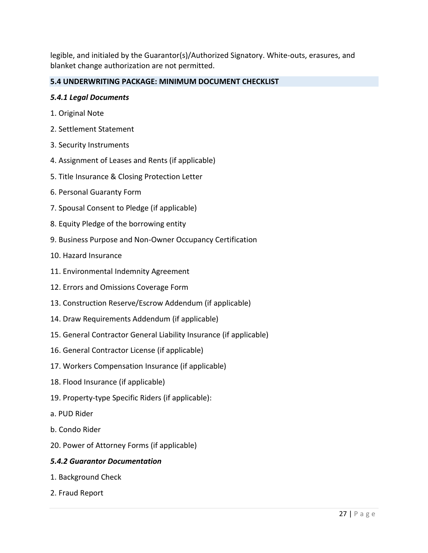legible, and initialed by the Guarantor(s)/Authorized Signatory. White-outs, erasures, and blanket change authorization are not permitted.

## **5.4 UNDERWRITING PACKAGE: MINIMUM DOCUMENT CHECKLIST**

#### *5.4.1 Legal Documents*

- 1. Original Note
- 2. Settlement Statement
- 3. Security Instruments
- 4. Assignment of Leases and Rents (if applicable)
- 5. Title Insurance & Closing Protection Letter
- 6. Personal Guaranty Form
- 7. Spousal Consent to Pledge (if applicable)
- 8. Equity Pledge of the borrowing entity
- 9. Business Purpose and Non-Owner Occupancy Certification
- 10. Hazard Insurance
- 11. Environmental Indemnity Agreement
- 12. Errors and Omissions Coverage Form
- 13. Construction Reserve/Escrow Addendum (if applicable)
- 14. Draw Requirements Addendum (if applicable)
- 15. General Contractor General Liability Insurance (if applicable)
- 16. General Contractor License (if applicable)
- 17. Workers Compensation Insurance (if applicable)
- 18. Flood Insurance (if applicable)
- 19. Property-type Specific Riders (if applicable):
- a. PUD Rider
- b. Condo Rider
- 20. Power of Attorney Forms (if applicable)

## *5.4.2 Guarantor Documentation*

- 1. Background Check
- 2. Fraud Report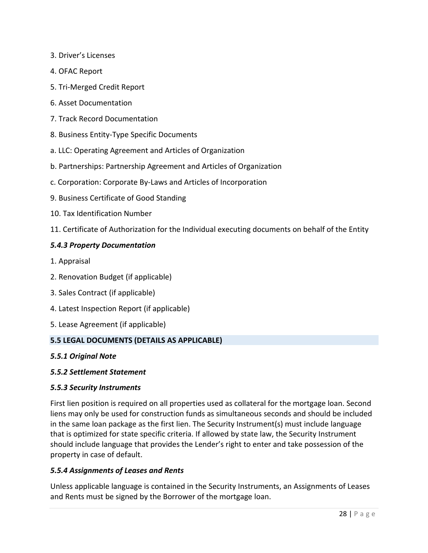- 3. Driver's Licenses
- 4. OFAC Report
- 5. Tri-Merged Credit Report
- 6. Asset Documentation
- 7. Track Record Documentation
- 8. Business Entity-Type Specific Documents
- a. LLC: Operating Agreement and Articles of Organization
- b. Partnerships: Partnership Agreement and Articles of Organization
- c. Corporation: Corporate By-Laws and Articles of Incorporation
- 9. Business Certificate of Good Standing
- 10. Tax Identification Number
- 11. Certificate of Authorization for the Individual executing documents on behalf of the Entity

#### *5.4.3 Property Documentation*

- 1. Appraisal
- 2. Renovation Budget (if applicable)
- 3. Sales Contract (if applicable)
- 4. Latest Inspection Report (if applicable)
- 5. Lease Agreement (if applicable)

#### **5.5 LEGAL DOCUMENTS (DETAILS AS APPLICABLE)**

*5.5.1 Original Note*

#### *5.5.2 Settlement Statement*

#### *5.5.3 Security Instruments*

First lien position is required on all properties used as collateral for the mortgage loan. Second liens may only be used for construction funds as simultaneous seconds and should be included in the same loan package as the first lien. The Security Instrument(s) must include language that is optimized for state specific criteria. If allowed by state law, the Security Instrument should include language that provides the Lender's right to enter and take possession of the property in case of default.

#### *5.5.4 Assignments of Leases and Rents*

Unless applicable language is contained in the Security Instruments, an Assignments of Leases and Rents must be signed by the Borrower of the mortgage loan.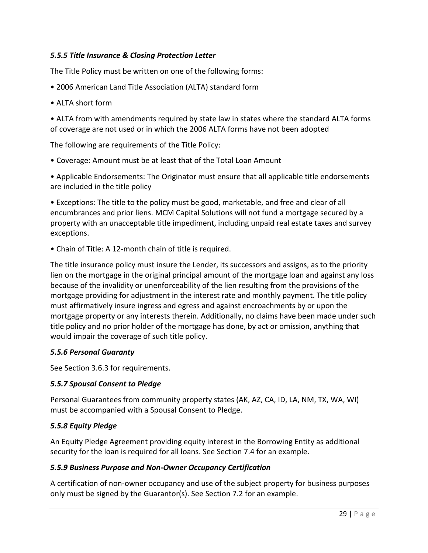## *5.5.5 Title Insurance & Closing Protection Letter*

The Title Policy must be written on one of the following forms:

- 2006 American Land Title Association (ALTA) standard form
- ALTA short form

• ALTA from with amendments required by state law in states where the standard ALTA forms of coverage are not used or in which the 2006 ALTA forms have not been adopted

The following are requirements of the Title Policy:

• Coverage: Amount must be at least that of the Total Loan Amount

• Applicable Endorsements: The Originator must ensure that all applicable title endorsements are included in the title policy

• Exceptions: The title to the policy must be good, marketable, and free and clear of all encumbrances and prior liens. MCM Capital Solutions will not fund a mortgage secured by a property with an unacceptable title impediment, including unpaid real estate taxes and survey exceptions.

• Chain of Title: A 12-month chain of title is required.

The title insurance policy must insure the Lender, its successors and assigns, as to the priority lien on the mortgage in the original principal amount of the mortgage loan and against any loss because of the invalidity or unenforceability of the lien resulting from the provisions of the mortgage providing for adjustment in the interest rate and monthly payment. The title policy must affirmatively insure ingress and egress and against encroachments by or upon the mortgage property or any interests therein. Additionally, no claims have been made under such title policy and no prior holder of the mortgage has done, by act or omission, anything that would impair the coverage of such title policy.

## *5.5.6 Personal Guaranty*

See Section 3.6.3 for requirements.

## *5.5.7 Spousal Consent to Pledge*

Personal Guarantees from community property states (AK, AZ, CA, ID, LA, NM, TX, WA, WI) must be accompanied with a Spousal Consent to Pledge.

## *5.5.8 Equity Pledge*

An Equity Pledge Agreement providing equity interest in the Borrowing Entity as additional security for the loan is required for all loans. See Section 7.4 for an example.

## *5.5.9 Business Purpose and Non-Owner Occupancy Certification*

A certification of non-owner occupancy and use of the subject property for business purposes only must be signed by the Guarantor(s). See Section 7.2 for an example.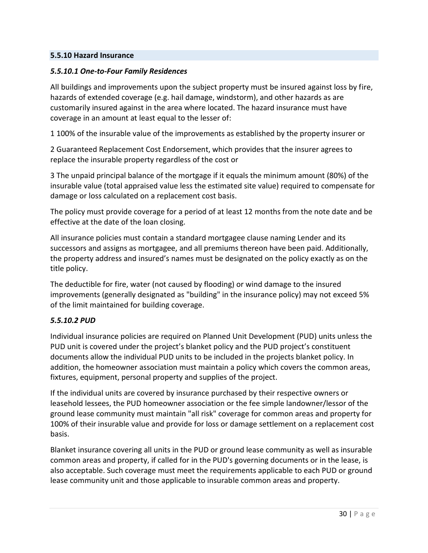#### **5.5.10 Hazard Insurance**

#### *5.5.10.1 One-to-Four Family Residences*

All buildings and improvements upon the subject property must be insured against loss by fire, hazards of extended coverage (e.g. hail damage, windstorm), and other hazards as are customarily insured against in the area where located. The hazard insurance must have coverage in an amount at least equal to the lesser of:

1 100% of the insurable value of the improvements as established by the property insurer or

2 Guaranteed Replacement Cost Endorsement, which provides that the insurer agrees to replace the insurable property regardless of the cost or

3 The unpaid principal balance of the mortgage if it equals the minimum amount (80%) of the insurable value (total appraised value less the estimated site value) required to compensate for damage or loss calculated on a replacement cost basis.

The policy must provide coverage for a period of at least 12 months from the note date and be effective at the date of the loan closing.

All insurance policies must contain a standard mortgagee clause naming Lender and its successors and assigns as mortgagee, and all premiums thereon have been paid. Additionally, the property address and insured's names must be designated on the policy exactly as on the title policy.

The deductible for fire, water (not caused by flooding) or wind damage to the insured improvements (generally designated as "building" in the insurance policy) may not exceed 5% of the limit maintained for building coverage.

## *5.5.10.2 PUD*

Individual insurance policies are required on Planned Unit Development (PUD) units unless the PUD unit is covered under the project's blanket policy and the PUD project's constituent documents allow the individual PUD units to be included in the projects blanket policy. In addition, the homeowner association must maintain a policy which covers the common areas, fixtures, equipment, personal property and supplies of the project.

If the individual units are covered by insurance purchased by their respective owners or leasehold lessees, the PUD homeowner association or the fee simple landowner/lessor of the ground lease community must maintain "all risk" coverage for common areas and property for 100% of their insurable value and provide for loss or damage settlement on a replacement cost basis.

Blanket insurance covering all units in the PUD or ground lease community as well as insurable common areas and property, if called for in the PUD's governing documents or in the lease, is also acceptable. Such coverage must meet the requirements applicable to each PUD or ground lease community unit and those applicable to insurable common areas and property.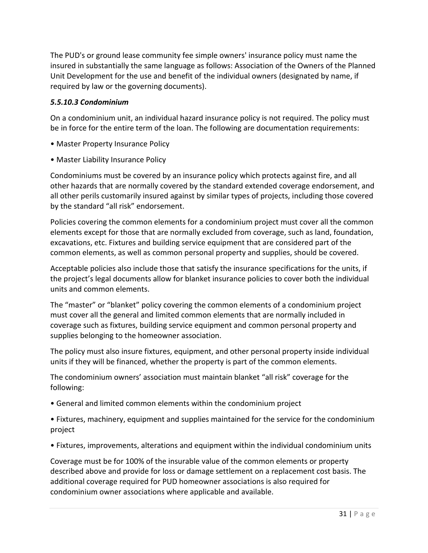The PUD's or ground lease community fee simple owners' insurance policy must name the insured in substantially the same language as follows: Association of the Owners of the Planned Unit Development for the use and benefit of the individual owners (designated by name, if required by law or the governing documents).

## *5.5.10.3 Condominium*

On a condominium unit, an individual hazard insurance policy is not required. The policy must be in force for the entire term of the loan. The following are documentation requirements:

- Master Property Insurance Policy
- Master Liability Insurance Policy

Condominiums must be covered by an insurance policy which protects against fire, and all other hazards that are normally covered by the standard extended coverage endorsement, and all other perils customarily insured against by similar types of projects, including those covered by the standard "all risk" endorsement.

Policies covering the common elements for a condominium project must cover all the common elements except for those that are normally excluded from coverage, such as land, foundation, excavations, etc. Fixtures and building service equipment that are considered part of the common elements, as well as common personal property and supplies, should be covered.

Acceptable policies also include those that satisfy the insurance specifications for the units, if the project's legal documents allow for blanket insurance policies to cover both the individual units and common elements.

The "master" or "blanket" policy covering the common elements of a condominium project must cover all the general and limited common elements that are normally included in coverage such as fixtures, building service equipment and common personal property and supplies belonging to the homeowner association.

The policy must also insure fixtures, equipment, and other personal property inside individual units if they will be financed, whether the property is part of the common elements.

The condominium owners' association must maintain blanket "all risk" coverage for the following:

• General and limited common elements within the condominium project

• Fixtures, machinery, equipment and supplies maintained for the service for the condominium project

• Fixtures, improvements, alterations and equipment within the individual condominium units

Coverage must be for 100% of the insurable value of the common elements or property described above and provide for loss or damage settlement on a replacement cost basis. The additional coverage required for PUD homeowner associations is also required for condominium owner associations where applicable and available.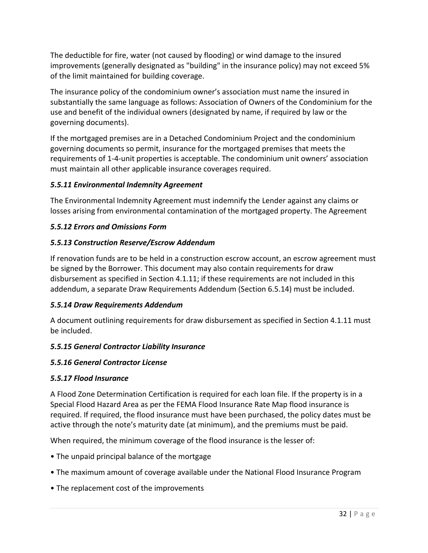The deductible for fire, water (not caused by flooding) or wind damage to the insured improvements (generally designated as "building" in the insurance policy) may not exceed 5% of the limit maintained for building coverage.

The insurance policy of the condominium owner's association must name the insured in substantially the same language as follows: Association of Owners of the Condominium for the use and benefit of the individual owners (designated by name, if required by law or the governing documents).

If the mortgaged premises are in a Detached Condominium Project and the condominium governing documents so permit, insurance for the mortgaged premises that meets the requirements of 1-4-unit properties is acceptable. The condominium unit owners' association must maintain all other applicable insurance coverages required.

## *5.5.11 Environmental Indemnity Agreement*

The Environmental Indemnity Agreement must indemnify the Lender against any claims or losses arising from environmental contamination of the mortgaged property. The Agreement

## *5.5.12 Errors and Omissions Form*

## *5.5.13 Construction Reserve/Escrow Addendum*

If renovation funds are to be held in a construction escrow account, an escrow agreement must be signed by the Borrower. This document may also contain requirements for draw disbursement as specified in Section 4.1.11; if these requirements are not included in this addendum, a separate Draw Requirements Addendum (Section 6.5.14) must be included.

## *5.5.14 Draw Requirements Addendum*

A document outlining requirements for draw disbursement as specified in Section 4.1.11 must be included.

## *5.5.15 General Contractor Liability Insurance*

## *5.5.16 General Contractor License*

## *5.5.17 Flood Insurance*

A Flood Zone Determination Certification is required for each loan file. If the property is in a Special Flood Hazard Area as per the FEMA Flood Insurance Rate Map flood insurance is required. If required, the flood insurance must have been purchased, the policy dates must be active through the note's maturity date (at minimum), and the premiums must be paid.

When required, the minimum coverage of the flood insurance is the lesser of:

- The unpaid principal balance of the mortgage
- The maximum amount of coverage available under the National Flood Insurance Program
- The replacement cost of the improvements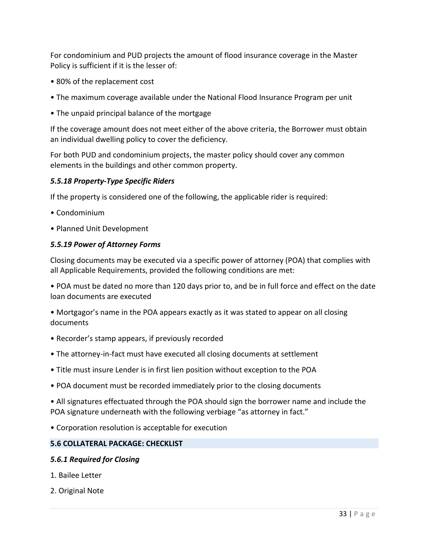For condominium and PUD projects the amount of flood insurance coverage in the Master Policy is sufficient if it is the lesser of:

- 80% of the replacement cost
- The maximum coverage available under the National Flood Insurance Program per unit
- The unpaid principal balance of the mortgage

If the coverage amount does not meet either of the above criteria, the Borrower must obtain an individual dwelling policy to cover the deficiency.

For both PUD and condominium projects, the master policy should cover any common elements in the buildings and other common property.

#### *5.5.18 Property-Type Specific Riders*

If the property is considered one of the following, the applicable rider is required:

- Condominium
- Planned Unit Development

#### *5.5.19 Power of Attorney Forms*

Closing documents may be executed via a specific power of attorney (POA) that complies with all Applicable Requirements, provided the following conditions are met:

• POA must be dated no more than 120 days prior to, and be in full force and effect on the date loan documents are executed

• Mortgagor's name in the POA appears exactly as it was stated to appear on all closing documents

- Recorder's stamp appears, if previously recorded
- The attorney-in-fact must have executed all closing documents at settlement
- Title must insure Lender is in first lien position without exception to the POA
- POA document must be recorded immediately prior to the closing documents

• All signatures effectuated through the POA should sign the borrower name and include the POA signature underneath with the following verbiage "as attorney in fact."

• Corporation resolution is acceptable for execution

#### **5.6 COLLATERAL PACKAGE: CHECKLIST**

#### *5.6.1 Required for Closing*

- 1. Bailee Letter
- 2. Original Note